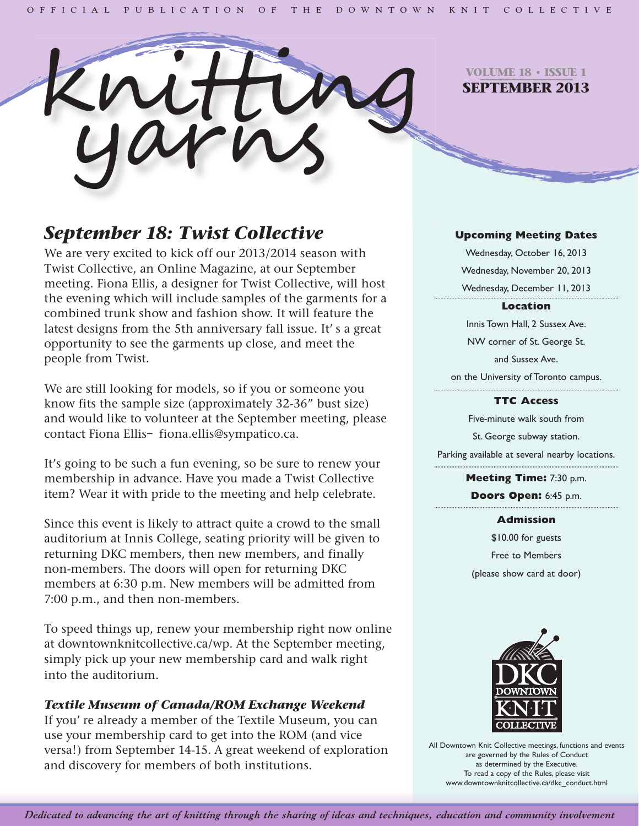

**VOLUME 18 • ISSUE 1 SEPTEMBER 2013**

# *September 18: Twist Collective*

We are very excited to kick off our 2013/2014 season with Twist Collective, an Online Magazine, at our September meeting. Fiona Ellis, a designer for Twist Collective, will host the evening which will include samples of the garments for a combined trunk show and fashion show. It will feature the latest designs from the 5th anniversary fall issue. It's a great opportunity to see the garments up close, and meet the people from Twist.

We are still looking for models, so if you or someone you know fits the sample size (approximately 32-36" bust size) and would like to volunteer at the September meeting, please contact Fiona Ellis– fiona.ellis@sympatico.ca.

It's going to be such a fun evening, so be sure to renew your membership in advance. Have you made a Twist Collective item? Wear it with pride to the meeting and help celebrate.

Since this event is likely to attract quite a crowd to the small auditorium at Innis College, seating priority will be given to returning DKC members, then new members, and finally non-members. The doors will open for returning DKC members at 6:30 p.m. New members will be admitted from 7:00 p.m., and then non-members.

To speed things up, renew your membership right now online at downtownknitcollective.ca/wp. At the September meeting, simply pick up your new membership card and walk right into the auditorium.

# *Textile Museum of Canada/ROM Exchange Weekend*

If you' re already a member of the Textile Museum, you can use your membership card to get into the ROM (and vice versa!) from September 14-15. A great weekend of exploration and discovery for members of both institutions.

### **Upcoming Meeting Dates**

Wednesday, October 16, 2013 Wednesday, November 20, 2013 Wednesday, December 11, 2013

### **Location**

Innis Town Hall, 2 Sussex Ave. NW corner of St. George St. and Sussex Ave. on the University of Toronto campus.

### **TTC Access**

Five-minute walk south from St. George subway station. Parking available at several nearby locations.

> **Meeting Time:** 7:30 p.m. **Doors Open:** 6:45 p.m.

#### **Admission**

\$10.00 for guests Free to Members (please show card at door)



All Downtown Knit Collective meetings, functions and events are governed by the Rules of Conduct as determined by the Executive. To read a copy of the Rules, please visit www.downtownknitcollective.ca/dkc\_conduct.html

Dedicated to advancing the art of knitting through the sharing of ideas and techniques, education and community involvement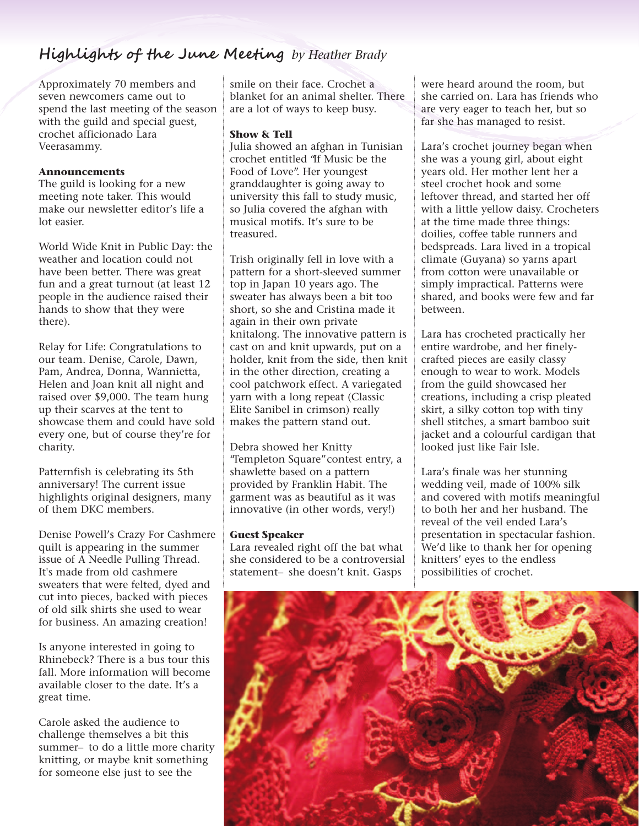# **Highlights of the June Meeting** *by Heather Brady*

Approximately 70 members and seven newcomers came out to spend the last meeting of the season with the guild and special guest, crochet afficionado Lara Veerasammy.

# **Announcements**

The guild is looking for a new meeting note taker. This would make our newsletter editor's life a lot easier.

World Wide Knit in Public Day: the weather and location could not have been better. There was great fun and a great turnout (at least 12 people in the audience raised their hands to show that they were there).

Relay for Life: Congratulations to our team. Denise, Carole, Dawn, Pam, Andrea, Donna, Wannietta, Helen and Joan knit all night and raised over \$9,000. The team hung up their scarves at the tent to showcase them and could have sold every one, but of course they're for charity.

Patternfish is celebrating its 5th anniversary! The current issue highlights original designers, many of them DKC members.

Denise Powell's Crazy For Cashmere quilt is appearing in the summer issue of A Needle Pulling Thread. It's made from old cashmere sweaters that were felted, dyed and cut into pieces, backed with pieces of old silk shirts she used to wear for business. An amazing creation!

Is anyone interested in going to Rhinebeck? There is a bus tour this fall. More information will become available closer to the date. It's a great time.

Carole asked the audience to challenge themselves a bit this summer– to do a little more charity knitting, or maybe knit something for someone else just to see the

smile on their face. Crochet a blanket for an animal shelter. There are a lot of ways to keep busy.

# **Show & Tell**

Julia showed an afghan in Tunisian crochet entitled "If Music be the Food of Love". Her youngest granddaughter is going away to university this fall to study music, so Julia covered the afghan with musical motifs. It's sure to be treasured.

Trish originally fell in love with a pattern for a short-sleeved summer top in Japan 10 years ago. The sweater has always been a bit too short, so she and Cristina made it again in their own private knitalong. The innovative pattern is cast on and knit upwards, put on a holder, knit from the side, then knit in the other direction, creating a cool patchwork effect. A variegated yarn with a long repeat (Classic Elite Sanibel in crimson) really makes the pattern stand out.

Debra showed her Knitty "Templeton Square"contest entry, a shawlette based on a pattern provided by Franklin Habit. The garment was as beautiful as it was innovative (in other words, very!)

### **Guest Speaker**

Lara revealed right off the bat what she considered to be a controversial statement– she doesn't knit. Gasps

were heard around the room, but she carried on. Lara has friends who are very eager to teach her, but so far she has managed to resist.

Lara's crochet journey began when she was a young girl, about eight years old. Her mother lent her a steel crochet hook and some leftover thread, and started her off with a little yellow daisy. Crocheters at the time made three things: doilies, coffee table runners and bedspreads. Lara lived in a tropical climate (Guyana) so yarns apart from cotton were unavailable or simply impractical. Patterns were shared, and books were few and far between.

Lara has crocheted practically her entire wardrobe, and her finelycrafted pieces are easily classy enough to wear to work. Models from the guild showcased her creations, including a crisp pleated skirt, a silky cotton top with tiny shell stitches, a smart bamboo suit jacket and a colourful cardigan that looked just like Fair Isle.

Lara's finale was her stunning wedding veil, made of 100% silk and covered with motifs meaningful to both her and her husband. The reveal of the veil ended Lara's presentation in spectacular fashion. We'd like to thank her for opening knitters' eyes to the endless possibilities of crochet.

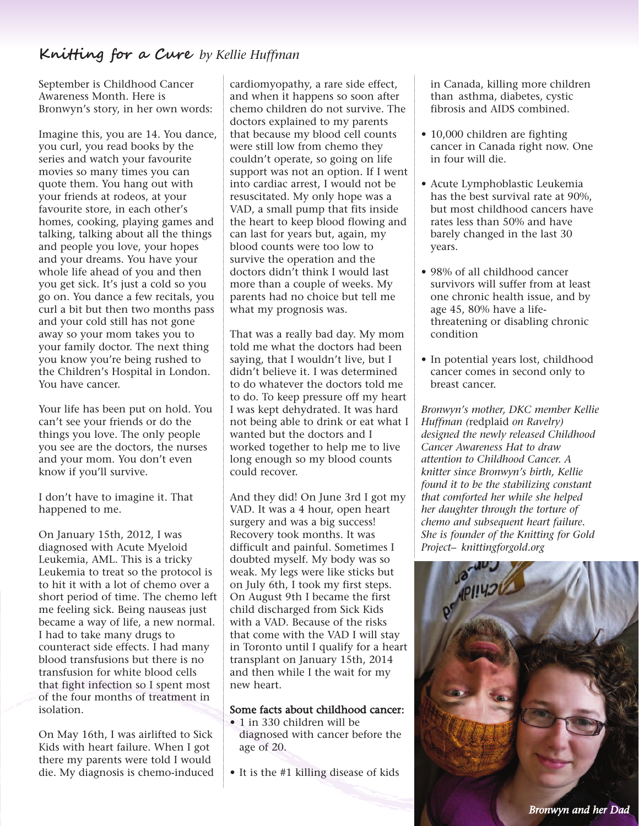# **Knitting for a Cure** *by Kellie Huffman*

September is Childhood Cancer Awareness Month. Here is Bronwyn's story, in her own words:

Imagine this, you are 14. You dance, you curl, you read books by the series and watch your favourite movies so many times you can quote them. You hang out with your friends at rodeos, at your favourite store, in each other's homes, cooking, playing games and talking, talking about all the things and people you love, your hopes and your dreams. You have your whole life ahead of you and then you get sick. It's just a cold so you go on. You dance a few recitals, you curl a bit but then two months pass and your cold still has not gone away so your mom takes you to your family doctor. The next thing you know you're being rushed to the Children's Hospital in London. You have cancer.

Your life has been put on hold. You can't see your friends or do the things you love. The only people you see are the doctors, the nurses and your mom. You don't even know if you'll survive.

I don't have to imagine it. That happened to me.

On January 15th, 2012, I was diagnosed with Acute Myeloid Leukemia, AML. This is a tricky Leukemia to treat so the protocol is to hit it with a lot of chemo over a short period of time. The chemo left me feeling sick. Being nauseas just became a way of life, a new normal. I had to take many drugs to counteract side effects. I had many blood transfusions but there is no transfusion for white blood cells that fight infection so I spent most of the four months of treatment in isolation.

On May 16th, I was airlifted to Sick Kids with heart failure. When I got there my parents were told I would die. My diagnosis is chemo-induced cardiomyopathy, a rare side effect, and when it happens so soon after chemo children do not survive. The doctors explained to my parents that because my blood cell counts were still low from chemo they couldn't operate, so going on life support was not an option. If I went into cardiac arrest, I would not be resuscitated. My only hope was a VAD, a small pump that fits inside the heart to keep blood flowing and can last for years but, again, my blood counts were too low to survive the operation and the doctors didn't think I would last more than a couple of weeks. My parents had no choice but tell me what my prognosis was.

That was a really bad day. My mom told me what the doctors had been saying, that I wouldn't live, but I didn't believe it. I was determined to do whatever the doctors told me to do. To keep pressure off my heart I was kept dehydrated. It was hard not being able to drink or eat what I wanted but the doctors and I worked together to help me to live long enough so my blood counts could recover.

And they did! On June 3rd I got my VAD. It was a 4 hour, open heart surgery and was a big success! Recovery took months. It was difficult and painful. Sometimes I doubted myself. My body was so weak. My legs were like sticks but on July 6th, I took my first steps. On August 9th I became the first child discharged from Sick Kids with a VAD. Because of the risks that come with the VAD I will stay in Toronto until I qualify for a heart transplant on January 15th, 2014 and then while I the wait for my new heart.

#### Some facts about childhood cancer:

- 1 in 330 children will be diagnosed with cancer before the age of 20.
- It is the #1 killing disease of kids

in Canada, killing more children than asthma, diabetes, cystic fibrosis and AIDS combined.

- 10,000 children are fighting cancer in Canada right now. One in four will die.
- Acute Lymphoblastic Leukemia has the best survival rate at 90%, but most childhood cancers have rates less than 50% and have barely changed in the last 30 years.
- 98% of all childhood cancer survivors will suffer from at least one chronic health issue, and by age 45, 80% have a lifethreatening or disabling chronic condition
- In potential years lost, childhood cancer comes in second only to breast cancer.

*Bronwyn's mother, DKC member Kellie Huffman (*redplaid *on Ravelry) designed the newly released Childhood Cancer Awareness Hat to draw attention to Childhood Cancer. A knitter since Bronwyn's birth, Kellie found it to be the stabilizing constant that comforted her while she helped her daughter through the torture of chemo and subsequent heart failure. She is founder of the Knitting for Gold Project– knittingforgold.org*